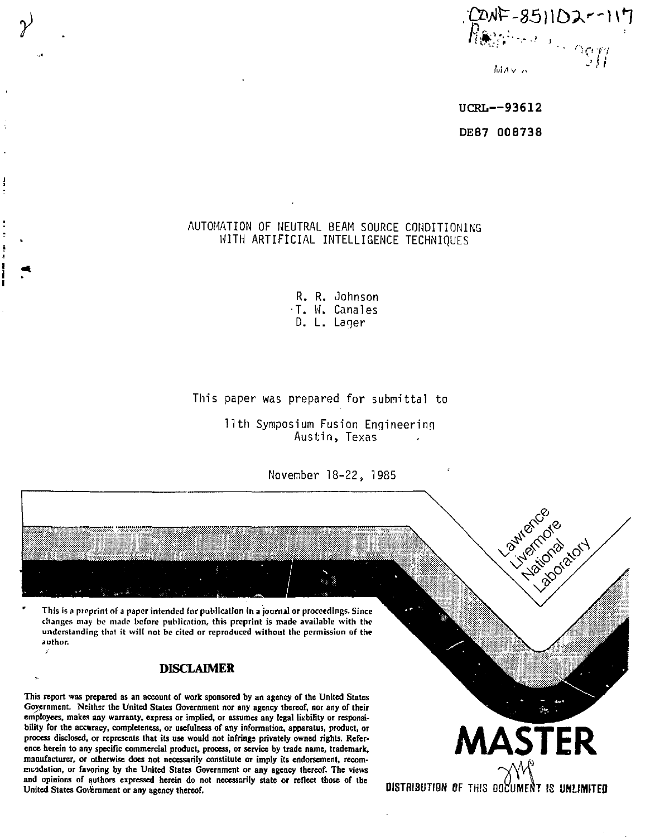

**UCRL—9361 2 DE87 008738** 

# AUTOMATION OF NEUTRAL BEAM SOURCE CONDITIONING WITH ARTIFICIAL INTELLIGENCE TECHNIQUES

R. R. Johnson •T. H. Canales D. L. Laqer

## This paper was prepared for submittal to

11th Symposium Fusion Engineering Austin, Texas

November 18-22, 1985

**\* This is a preprint of** *a* **paper intended for publication in a journal or proceedings. Since changes may be made before publication, this preprint is made available with the understanding that it will not be cited or reproduced without the permission of the author.** 

**y** 

ź

## **DISCLAIMER**

**This report was prepared as an account of work sponsored by an agency of the United States Government. Neither the United States Government nor any agency thereof, nor any of their employees, makes any warranty, express or implied, or assumes any legal liability or responsibility for the accuracy, completeness, or usefulness of any information, apparatus, product, or process disclosed, or represents that its use would not infrings privately owned rights. Reference herein to any specific commercial product, process, or service by trade name, trademark, manufacturer, or otherwise does not necessarily constitute or imply its endorsement, recommendation, or favoring by the United States Government or any agency thereof. The views and opinions of authors expressed herein do not necessarily state or reflect those of the**  United States Government or any agency thereof.

**DISTRIBUTION OF THIS DOCUMENT IS UNLIMITED** 

**MASTER** 

Lawrence Elizabeto de indiscribed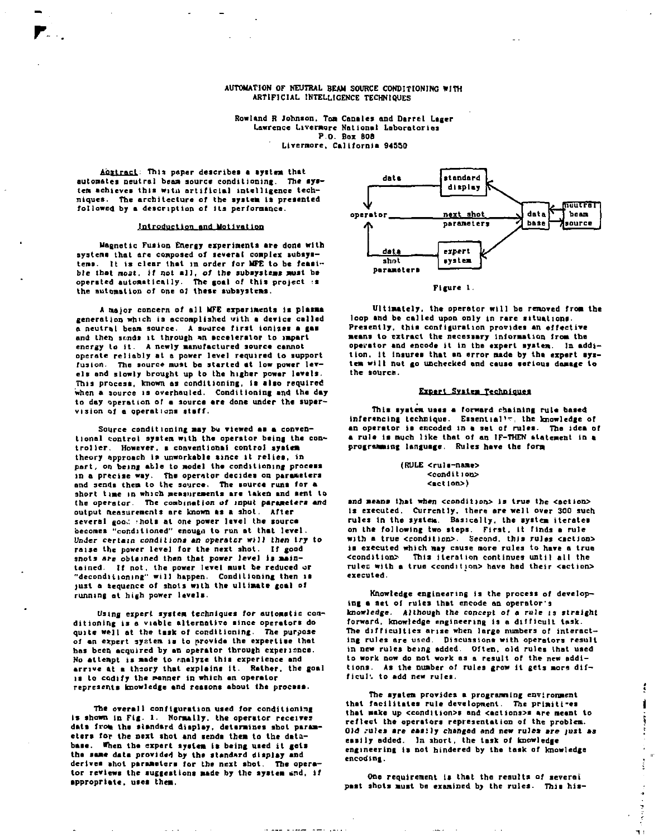### **AUTOMATION OF NEUTRAL BEAM SOURCE CONDITIONING WITH ARTIFICIAL INTELLIGENCE TECHNIQUES**

**Rowland R Johnson. Tom Canales and Darrel Lager**  Lawrence Livermore National Laboratories **P.O. Box BOB Llvernore, California 94550** 

**A££lx&£l; This paper describes a system that automates neutral beam source conditioning. The aysten achieves this witu artificial intelligence techniques. The architecture of the system is presented followed by a description of Its performance.** 

### **Introduction and Motivation**

**Magnetic Fusion Energy experiments are done with systems that are composed of several complex subsystems, it is clear that in order for MFE to be feasible that** *nost, it* **not a]], of the subsystems must be operated automatically. The goal of this project :s the automation of one o] these subsystems.** 

**A major concern of all MFE experiments Is plasma generation which is accomplished with a device called a neutral beam source. A source first ionizes a gas and then sr.nds it through \*n accelerator to impart energy to it- A newly manufactured source cannot operate reliably at a power level required to support fusion. The source must be started at low power levels and slowly brought up to the higher power levels. This process, known as conditioning. Is also required when a source is overhauled. Conditioning and the day**  to day operation of a source are done under the super**vision of a operations staff.** 

**Source conditioning may bu viewed as a conventional control system with the operator being the controller. However, a conventional control system theory approach is unworkable since it relies, in part, on being able to model the conditioning process in a precise way. The operator decides on parameters and sends them to the source. The source runs for a**  short time in which measurements are taken and sent to **the operator- The combination** *ot* **input parameters and output measurements are known as a shot. After**  several good shots at one power level the source **becomes "conditioned" enougn to run at that level. Under certain conditions an operator will then try to raise the power level for the next shot. If good snots are obtained then that power level Is maintained. If not, the power level must be reduced or "decondittoning" will happen. Conditioning then is just a Sequence of shots with the ultimate goal of running at high power levels.** 

**Using expert system techniques for automatic conditioning is a viable alternative since operators do quite we n at the task of conditioning. The purpose of an expert system ia to provide the expertise that has been acquired by an operator through experience. No attempt is made to rnelyze this experience and arrive at a theory that explains it. Rather, the goal is to codify the manner in which an operator represents knowledge and reasons about the process.** 

**The overall configuration used for conditioning is shown in Fig- 1. Normally, the operator receives**  data from the standard display, determines shot param**eters for the next shot and sends them to the database. When the expert system is being used it gets the seme data provided by the standard display and derives ahot parameters tor the next shot. The operator reviews the suggestions made by the system «nd, if appropriate, uses them.** 

والمرادسين استبداعا مهدان



**Figure 1.** 

**Ultimately, the operator will be removed from the loop and be called upon only in rare situations. Presently, this configuration provides an effective means to extract the necessary information from the operator and encode it in the expert system. In addition. It insures that an error made by the expert system wilt nut go unchecked and cause serious damage to the source.** 

#### **Expert System Technimies**

**This system uses a forward chaining rule based inferencing technique. Essential<sup>1</sup> ': the knowledge of an operator is encoded in a set of rules. The idea or a rule is much like that of an IF-THEN ttatement in a programming language. Rules have the form** 

#### **(RULE <ruls-name> <condttion> <act|on>)**

**and means that when ccondition> is true the <actlon> is executed. Currently, there are well over 300 such rules in the system. Basically, the system iterates on the following two steps. First, it finds a rule**  with a true <condition>. Second, this rules <action> **la executed which may cause more rules to have a true <conditlon> This iteration continues until all the**  rules with a true coundition> have had their <action> **executed.** 

**Knowledge engineering is the process of developing a set of rules that encode an operator's knowledge. Although the concept of a rule is straight forward, knowledge engineering is a difficult task. The difficulties arise when large numbers of interacting rules are used. Discussions with operators result In new rules being added. Often, old rules lhat used to work now do not work as a result of the new additions. As the number of rules grow it gets mora difficult to add new rules.** 

**The system provides a programing environment**  that facilitates rule development. The primiti-es **that make up <eond)tion>s and <actions>a are meant to reflect the operators representation of the problem. Old .-ules are easily changed and new rules are just as easily added. In short, the task of knowledge engineering is not hindered by the task of knowledge encoding.** 

ţ  $\blacksquare$ 

'n.

٩ł

**One requirement Is that the results of several past shots must be examined** *by* **the rules. This his-**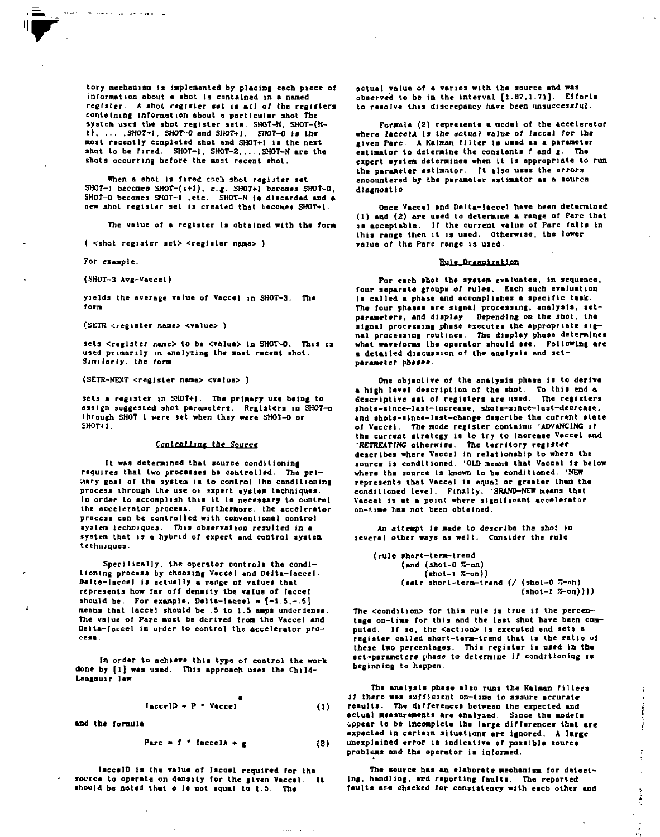**lory mechanism is implemented by placing each piece of information about a shot is contained in a named register. A shot register set is alt of the registers containing information about a particular shot The**  system uses the shot register sets. SHOT-N. SHOT-(N-*1) SMT-l, SHOT-0* **and** *SHOT+l***.** *SHOT-0* **is the most recently conpleted shot and SHOT+l is the next**  shot to be fired. SHOT-1, SHOT-2, ..., SHOT-N are the shots occurring before the most recent shot.

**When a shot is fired each shot register set**  SHOT-i becomes SHOT-( $i+1$ ). e.g. SHOT+1 becomes SHOT-0. **SHOT-0 becomes SHOT-1 .etc. SHOT-N is discarded and a new shot register set is created that becomes SHOT+l.** 

**The value of a register Is obtained with the form** 

**( <shot register set> <regtater name> )** 

**For example.** 

**(SHOT-3 Avg-Vaccel)** 

and a strategic control of the state of

**yields the average value of Vaccel in SHOT-3. The form** 

**(SETR •cregister naae> <value> )** 

**sets <register none> to be <value> in SHOT-O. This is used primarily in analyzing the most recent shot.**  *Stnilarly.* **the form** 

**(SETR-NEXT <register nane> <va|ue> )** 

**seta a register in SHOT+l. The primary use being to assign suggested shot parameters. Registers in SHCT-n through SHOT-1 were set when they were SHOT-0 or SHOT+l.** 

#### Controlling the Source

**It was determined that source conditioning requires that two processes ba controlled. The primary goal of the systea is to control the conditioning process through the use 01 expert system techniques. In order to accomplish this it is necessary to control the accelerator process. Furthermore, the accelerator process can be controlled with conventional control system techniques. This observation resulted in a system that is a hybrid of expert and control system techniques.** 

**Specifically, the operator controls the conditioning process by choosing Vaccel and Delta-Iaccel. Delta-Iaccel is actually a range of values that represents how far off density the value of faccel**  should be. For example, Delta-Iaccel =  $[-1.5, -5]$ **means that laccel should be .5 to l.S amps underdense. The value of Pare must be derived from the Vaccel and Delta-Ieccel in order to control the accelerator process.** 

**In order to achieve this type of control the work**  done by [1] was used. This approach uses the Child-**Langmuir law** 

$$
Iacc \neq 1D = P * Vacc \neq 1
$$
 (1)

**and ths formula** 

 $\overline{a}$ 

$$
Parc = f * [accelA + g]
$$
 (2)

 $\cdots$ 

**laccelD is the value of laccel required for the source to operate on density for the given Vaccel. It**  should be noted that e is not squal to 1.5. The

**actual value of e varies with the source and was observed to be in the interval [1.67,1.71]. Efforts to resolve this discrepancy have been unsuccessful.** 

Formula (2) represents a model of the accelerator **where laccelA is the actual value of laccel for the given Pare. A Kalman filter is used as a parameter**  estimator to determine the constants f and g. The **expert system determines when it is appropriate to run the parameter estimator. It also uses the errors encountered by the parameter estimator as a source diagnostic.** 

**Once Vaccel and Delta-laccel have been determined (1) and (2) fire used to determine a range of Pare that la acceptable. If the current value of Pare falls in this range then it is used. Otherwise, the lower value of the Pare range is used.** 

#### **Rule Organization**

**For each shot the system evaluates, in sequence, four separate groups of rules. Each such evaluation is called a phase and accomplishes a specific task. The four phases are signal processing, analysis, setparameters, and display. Depending on the shot, the signal processing phase executes the appropriate signal processing routines. The display phase determines what waveforms the operator should see. Following are a detailed discussion of the analysis and setparamcter phases.** 

**One objective of the analysis phase is to derive • high level description of the shot. To this end a descriptive set of registers are used. The registers shots-since-last-increase, shols-since-last-decrease. and shots-since-last-change describe the current state of Vaccel. The mode register contains 'ADVANCING if the current strategy is to try to increase Veccel and RETREATING otherwise. The territory register describes where Vaccel in relationship to where the**  source is conditioned. 'OLD means that Vaccel is below **where the source Is known to be conditioned. 'NEW represents that Vaccel is equal or greater than the conditioned level. Finally, 'BRAND-NEW means that Vaccel is at a point where significant accelerator on-time has not been obtained.** 

**An attempt is made to describe the shot In several other ways as well. Consider the rule** 

**(rule short-term-trend (end (shol-0 S-an) (shot-l 55-an))**  (setr short-term-trend (/ (shot-0  $\pi$ -on) **(shot-l S-on))))** 

The <condition> for this rule is true if the percen**tage on-time for this and the last shot have been computed. If so, the <action> is executed and sets a register called short-term-trend that is the ratio of these two percentages. This register is used in the set-parasieters phase to determine if conditioning is beginning to happen.** 

**The analysis phase also runs the Kalman filters if there was sufficient on-time to assure accurate results. The differences between the expected and actual measurements are analyzed. Since the models appear to ba incomplete the large differences that are expected in certain situations are ignored. A large unexplained error is indicative of possible source problems and the operator is informed.** 

**The source has an elaborate mechanism for detecting, handling, and reporting faults. The reported**  faults are chacked for consistency with each other and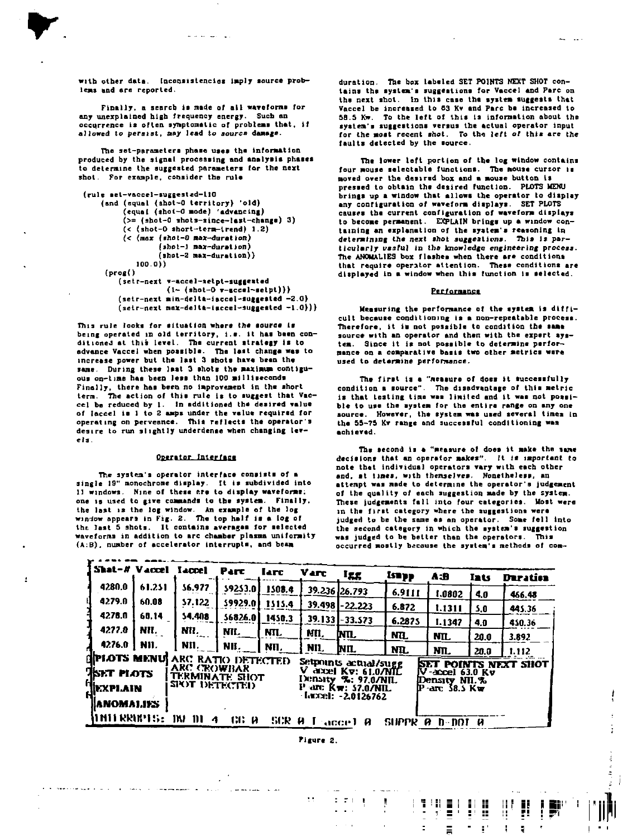ś

**with other data. Inconsistencies Imply source problems and are reported.** 

and an international

Finally, a search is made of all waveforms for **any unexplained high frequency energy. Such an occurrence Is often symptomatic of problems that. If allowed to persist, may lead to source damage.** 

**The set-parameters phase uses the information produced by the signal processing and analysis phases to determine the suggested parameters for the next shot. For example, consider the rule** 

```
(rule aet-vaccel-suggested-110
```

```
(and (equal (shot-0 territory) 'old)
    (equal (shol-0 mode) 'advancing) 
    (>= (ahot-0 shots-since-last-change) 3) 
    (< (shot-0 short-tera-lrend) 1.2) 
    (< (max (shot-0 nax-durallon) 
            (shot-1 nax-duralion) 
            (ahot-2 max-duration)) 
       100.0)) 
(prog() 
   (setr-next v-accel-aetpt-suggesled 
              (1- (shot-0 v-accel-setpt))> 
   (setr-next min-delta-iaccel-suggested -2.0) 
   (setr-next nax-dalla-taccel-suggealed -1.0)))
```
**This rule looks for situation where the source is being operated in old territory. I.e. it has been conditioned at this level. The current strategy is to advance Vaccel when possible. The last change was to increase power but the last 3 shots hav« bean the same. During these last 3 shots the maximum contiguous on-time has been less than 100 milliseconds Finally, there has been no Improvement in the short term. The action of this rule is to suggest that Vaccel be reduced by 1. In eddltioned the desired value of laccel is 1 to 2 amps under the value required for operating on perveence. This reflects the operator's desire to run slightly underdense when changing levels** 

#### Operator Interface

**The system's operator interface consists of a single 19" monochrome display, [t is subdivided into 11 windows. Nine of these ftre to display waveforms, one is used to give commands to the system. Ftnslly, the last is the log window. An example of the log window appears in Fig. 2. The top half is a log of the last 5 shots. It contains averages for selected waveforms in addition to arc chamber plasma uniformity (A:B). number of accelerator interrupts, and beam** 

sa a mana municipal contrato

A conservation and the state of the conservation of the main and the conservation of

 $\overline{1}$ 

**duration. The box labeled SET POINTS NEXT SHOT contains the system's suggestions for Vaccel and Pare on the next shot. In ibis case tha system suggests that Vaccel be increased to 63 Kv and Pare ba increased to 58.5 Kw, To the left of this is information about the system's suggestions versus the actual operator input**  for the most recent shot. To the left of this are the **faults detected by the source.** 

**The lower left portion of the log window contains four mouse selectable functions. The mouse cursor is moved over the desired box and a mouse button is pressed to obtain the desired function. PLOTS MENU brings up a window that allows the operator to display any configuration of waveform displays. SET PLOTS causes tha current configuration of waveform displays to become permanent. EXPLAIN brings up a window containing an explanation of the system's reasoning In determining the next shot suggestions. This Is particularly usaful in the knowledge engineering process.**  The ANOMALIES box flashes when there are conditions **that require operator attention. These conditions are displayed in a window when this function is selected.** 

#### **Performance**

**Heaiuring the performance of the system is difficult because conditioning is a non-repeatable process. Therefore, it is not possible to condition the tame source with an operator and then with the expert system. Since it is not passible to determine performance on a comparative basis two other metrics were used to determine performance.** 

**Tha first is a "measure of does it successfully condition a source". The disadvantage of this metric is that testing time was limited and it was not possible to use the system for the entire range on any one source. However, the system was used several tines in tha 55-75 Kv range and successful conditioning was achieved.** 

**The second is a "measure of does it make the sane decisions that an operator makes". It is important to note that individual operators vary with each other**  and, at times, with themselves. Nonetheless, an **attenpt was nade to determine the operator's judgement of the quality of each suggestion made by the system. These Judgements fall into four categories. Host were in the first category where the suggestions were judged to be the sane as an operator. Some fell into the second category in which the system's suggestion**  was judged to be better than the operators. This **occurred mostly because the system's methods of com—** 

1 H H H

 $\tilde{\gamma}$ Ξ Đ ë 8

 $\bar{\Xi}$  $\equiv$   $\blacksquare$ 

 $\mathbf{r}^{\star}$ ģ. g,

W

|                                      |                 |                 | Shat-# Vaccel Taccel                                 | Parc        | larc   | <b>Varc</b>                                                             | عءا             | <b>isapp</b> | A:B                                                       | Iats | Duration |
|--------------------------------------|-----------------|-----------------|------------------------------------------------------|-------------|--------|-------------------------------------------------------------------------|-----------------|--------------|-----------------------------------------------------------|------|----------|
| 4280.0                               |                 | 61.251          | \$6.977                                              | \$92\$3.0 l | 1508.4 |                                                                         | 39.236 26.793   | 6.9111       | 1.0802                                                    | 4.0  | 466.48   |
| 4279.0                               |                 | 60.08           | 57.122                                               | 59929.0     | 1515.4 |                                                                         | 39.498 22.223   | 6.872        | 1.1311                                                    | 5.0  | 445.36   |
| 4278.0                               |                 | 60.14           | 54.408                                               | 56826.0     | 1450.3 |                                                                         | 39.133 - 33.573 | 6.2875       | 1.1347                                                    | 4.0  | 450.36   |
| 4277.0                               |                 | NII.            | NII.                                                 | MI.         | HTL.   | MU.                                                                     | NTL.            | ND.          | NIL.                                                      | 20.0 | 3.892    |
|                                      |                 | $4276.0$   NII. | NII.                                                 | NII.        | NII.   | NII.                                                                    | NIL.            | ND.          | NTL.                                                      | 20.0 | 1.112    |
| <b>SPIOTS MENU</b><br><b>EXECUTE</b> |                 |                 | ARC RATIO DETECTED.<br>ARC CROWBAR<br>TERMINATE SHOT |             |        | Setphints actual/sugg<br>v<br>dizel Kv: 61.0/NTL<br>Density %; 97.0/NIL |                 |              | SET POINTS NEXT SHOT<br>'-accel 63.0 Kv<br>IDensity NIL.% |      |          |
|                                      | HIKXPI AIN<br>H |                 | SIX)T DETECTED                                       |             |        | -агс Кw: 57.0/NIL<br>Luxel: -2.0126762                                  |                 |              | IP-arc 38.5 Kw                                            |      |          |
|                                      |                 | IANOMALIES.     |                                                      |             |        |                                                                         |                 |              |                                                           |      |          |
|                                      |                 | miteritis:      | m<br>-111<br>4                                       | 136 M       | 5CR 0  |                                                                         | l accel A       | SUPPR        | Й<br>h-nor                                                | - u  |          |

**Figure 2.** 

 $2.71$  $\pmb{\mathfrak{g}}$ 

 $\sim$   $\sim$ 

المرابين المصادمة